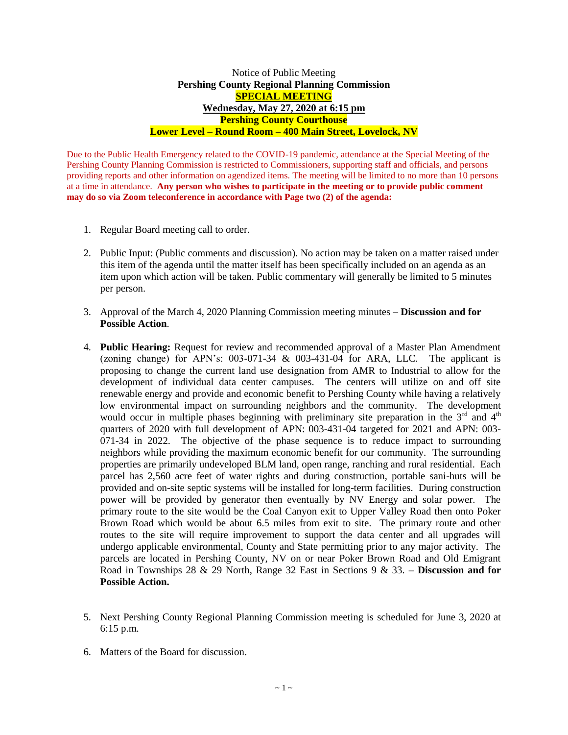## Notice of Public Meeting **Pershing County Regional Planning Commission SPECIAL MEETING Wednesday, May 27, 2020 at 6:15 pm Pershing County Courthouse Lower Level – Round Room – 400 Main Street, Lovelock, NV**

Due to the Public Health Emergency related to the COVID-19 pandemic, attendance at the Special Meeting of the Pershing County Planning Commission is restricted to Commissioners, supporting staff and officials, and persons providing reports and other information on agendized items. The meeting will be limited to no more than 10 persons at a time in attendance. **Any person who wishes to participate in the meeting or to provide public comment may do so via Zoom teleconference in accordance with Page two (2) of the agenda:** 

- 1. Regular Board meeting call to order.
- 2. Public Input: (Public comments and discussion). No action may be taken on a matter raised under this item of the agenda until the matter itself has been specifically included on an agenda as an item upon which action will be taken. Public commentary will generally be limited to 5 minutes per person.
- 3. Approval of the March 4, 2020 Planning Commission meeting minutes **– Discussion and for Possible Action**.
- 4. **Public Hearing:** Request for review and recommended approval of a Master Plan Amendment (zoning change) for APN's:  $003-071-34$  &  $003-431-04$  for ARA, LLC. The applicant is proposing to change the current land use designation from AMR to Industrial to allow for the development of individual data center campuses. The centers will utilize on and off site renewable energy and provide and economic benefit to Pershing County while having a relatively low environmental impact on surrounding neighbors and the community. The development would occur in multiple phases beginning with preliminary site preparation in the  $3<sup>rd</sup>$  and  $4<sup>th</sup>$ quarters of 2020 with full development of APN: 003-431-04 targeted for 2021 and APN: 003- 071-34 in 2022. The objective of the phase sequence is to reduce impact to surrounding neighbors while providing the maximum economic benefit for our community. The surrounding properties are primarily undeveloped BLM land, open range, ranching and rural residential. Each parcel has 2,560 acre feet of water rights and during construction, portable sani-huts will be provided and on-site septic systems will be installed for long-term facilities. During construction power will be provided by generator then eventually by NV Energy and solar power. The primary route to the site would be the Coal Canyon exit to Upper Valley Road then onto Poker Brown Road which would be about 6.5 miles from exit to site. The primary route and other routes to the site will require improvement to support the data center and all upgrades will undergo applicable environmental, County and State permitting prior to any major activity. The parcels are located in Pershing County, NV on or near Poker Brown Road and Old Emigrant Road in Townships 28 & 29 North, Range 32 East in Sections 9 & 33. **– Discussion and for Possible Action.**
- 5. Next Pershing County Regional Planning Commission meeting is scheduled for June 3, 2020 at 6:15 p.m.
- 6. Matters of the Board for discussion.